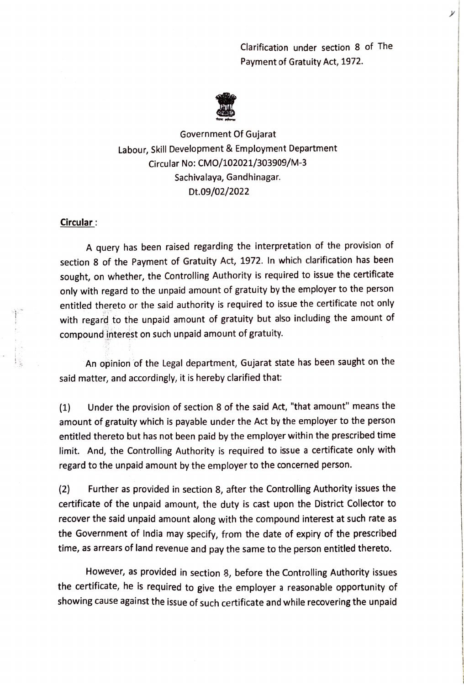Clarification under section 8 of The Payment of Gratuity Act, 1972.



Government Of Gujarat Labour, Skill Development & Employment Department Circular No: CMO/102021/303909/M-3 Sachivalaya, Gandhinagar. Dt.09/02/2022

## Circular:

A query has been raised regarding the interpretation of the provision of section 8 of the Payment of Gratuíty Act, 1972. In which clarification has been sought, on whether, the Controlling Authority is required to issue the certificate only with regard to the unpaid amount of gratuity by the employer to the person entitled thereto or the said authority is required to issue the certificate not only with regard to the unpaid amount of gratuity but also including the amount of compound interest on such unpaid amount of gratuity.

An opinion of the Legal department, Gujarat state has been saught on the said matter, and accordingly, it is hereby clarified that:

Under the provision of section 8 of the said Act, "that amount" means the (1) amount of gratuity which is payable under the Act by the employer to the person entitled thereto but has not been paid by the employer within the prescribed time limit. And, the Controlling Authority is required to issue a certificate only with regard to the unpaid amount by the employer to the concerned person.

(2) Further as provided in section 8, after the Controlling Authority issues the certificate of the unpaid amount, the duty is cast upon the District Collector to recover the said unpaid amount along with the compound interest at such rate as the Government of India may specify, from the date of expiry of the prescribed time, as arrears of land revenue and pay the same to the person entitled thereto.

However, as provided in section 8, before the Controlling Authority issues the certificate, he is required to give the employer a reasonable opportunity of showing cause against the issue of such certificate and while recovering the unpaid